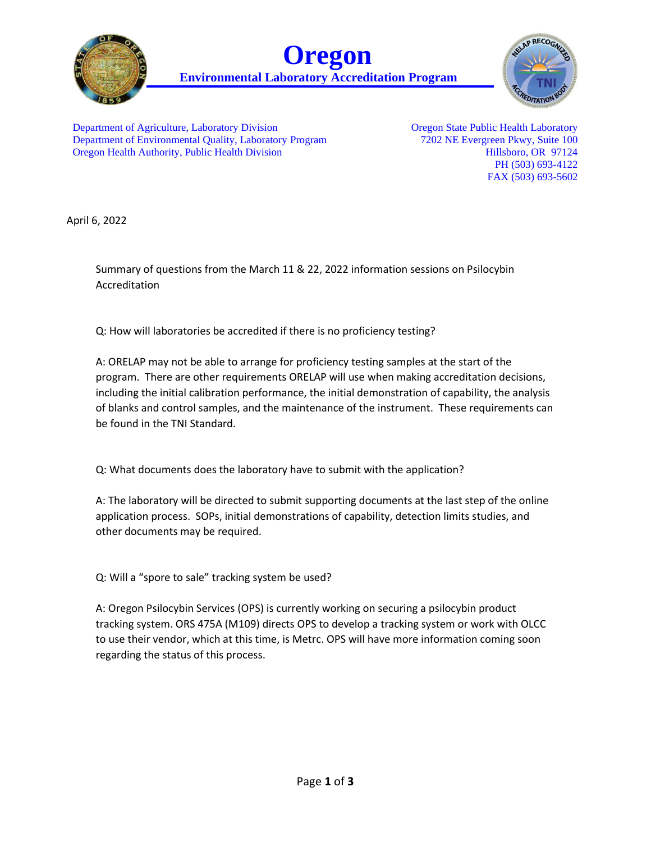





Department of Agriculture, Laboratory Division Department of Environmental Quality, Laboratory Program Oregon Health Authority, Public Health Division

Oregon State Public Health Laboratory 7202 NE Evergreen Pkwy, Suite 100 Hillsboro, OR 97124 PH (503) 693-4122 FAX (503) 693-5602

April 6, 2022

Summary of questions from the March 11 & 22, 2022 information sessions on Psilocybin Accreditation

Q: How will laboratories be accredited if there is no proficiency testing?

A: ORELAP may not be able to arrange for proficiency testing samples at the start of the program. There are other requirements ORELAP will use when making accreditation decisions, including the initial calibration performance, the initial demonstration of capability, the analysis of blanks and control samples, and the maintenance of the instrument. These requirements can be found in the TNI Standard.

Q: What documents does the laboratory have to submit with the application?

A: The laboratory will be directed to submit supporting documents at the last step of the online application process. SOPs, initial demonstrations of capability, detection limits studies, and other documents may be required.

Q: Will a "spore to sale" tracking system be used?

A: Oregon Psilocybin Services (OPS) is currently working on securing a psilocybin product tracking system. ORS 475A (M109) directs OPS to develop a tracking system or work with OLCC to use their vendor, which at this time, is Metrc. OPS will have more information coming soon regarding the status of this process.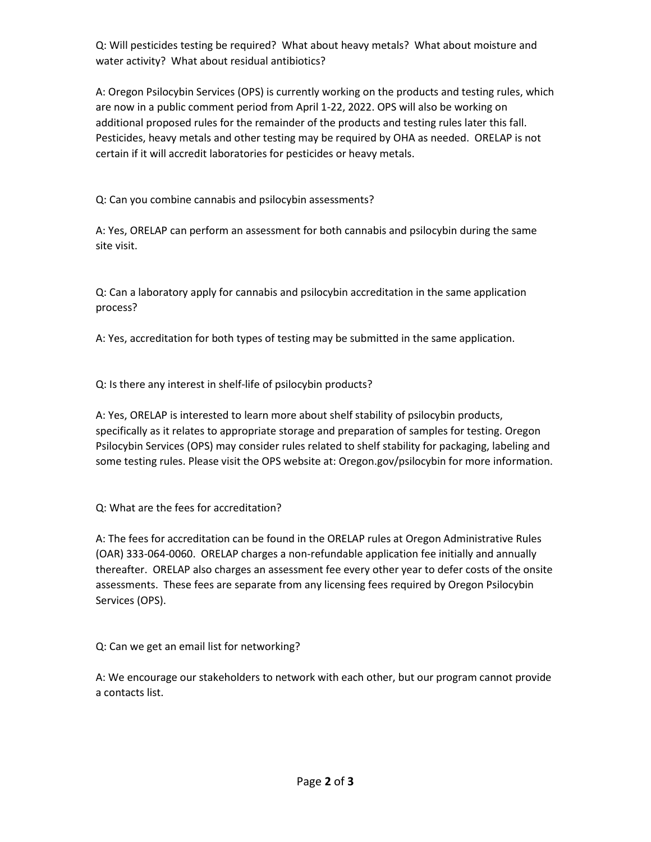Q: Will pesticides testing be required? What about heavy metals? What about moisture and water activity? What about residual antibiotics?

A: Oregon Psilocybin Services (OPS) is currently working on the products and testing rules, which are now in a public comment period from April 1-22, 2022. OPS will also be working on additional proposed rules for the remainder of the products and testing rules later this fall. Pesticides, heavy metals and other testing may be required by OHA as needed. ORELAP is not certain if it will accredit laboratories for pesticides or heavy metals.

Q: Can you combine cannabis and psilocybin assessments?

A: Yes, ORELAP can perform an assessment for both cannabis and psilocybin during the same site visit.

Q: Can a laboratory apply for cannabis and psilocybin accreditation in the same application process?

A: Yes, accreditation for both types of testing may be submitted in the same application.

Q: Is there any interest in shelf-life of psilocybin products?

A: Yes, ORELAP is interested to learn more about shelf stability of psilocybin products, specifically as it relates to appropriate storage and preparation of samples for testing. Oregon Psilocybin Services (OPS) may consider rules related to shelf stability for packaging, labeling and some testing rules. Please visit the OPS website at: Oregon.gov/psilocybin for more information.

Q: What are the fees for accreditation?

A: The fees for accreditation can be found in the ORELAP rules at Oregon Administrative Rules (OAR) 333-064-0060. ORELAP charges a non-refundable application fee initially and annually thereafter. ORELAP also charges an assessment fee every other year to defer costs of the onsite assessments. These fees are separate from any licensing fees required by Oregon Psilocybin Services (OPS).

Q: Can we get an email list for networking?

A: We encourage our stakeholders to network with each other, but our program cannot provide a contacts list.